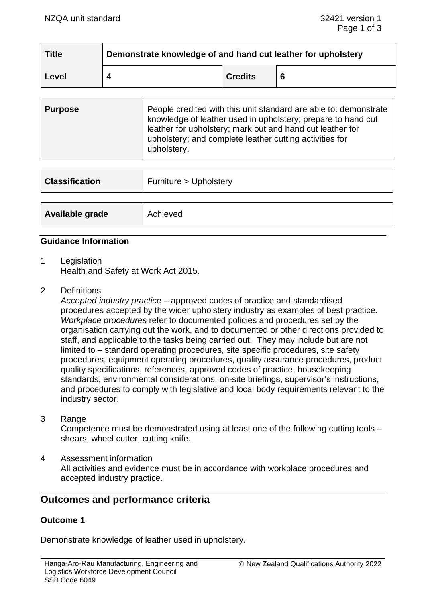| <b>Title</b> | Demonstrate knowledge of and hand cut leather for upholstery |                |  |
|--------------|--------------------------------------------------------------|----------------|--|
| Level        |                                                              | <b>Credits</b> |  |

| <b>Purpose</b> | People credited with this unit standard are able to: demonstrate<br>knowledge of leather used in upholstery; prepare to hand cut<br>leather for upholstery; mark out and hand cut leather for<br>upholstery; and complete leather cutting activities for<br>upholstery. |
|----------------|-------------------------------------------------------------------------------------------------------------------------------------------------------------------------------------------------------------------------------------------------------------------------|
|----------------|-------------------------------------------------------------------------------------------------------------------------------------------------------------------------------------------------------------------------------------------------------------------------|

| <b>Classification</b> | Furniture > Upholstery |
|-----------------------|------------------------|
| Available grade       | Achieved               |

## **Guidance Information**

- 1 Legislation Health and Safety at Work Act 2015.
- 2 Definitions

*Accepted industry practice* – approved codes of practice and standardised procedures accepted by the wider upholstery industry as examples of best practice. *Workplace procedures* refer to documented policies and procedures set by the organisation carrying out the work, and to documented or other directions provided to staff, and applicable to the tasks being carried out. They may include but are not limited to – standard operating procedures, site specific procedures, site safety procedures, equipment operating procedures, quality assurance procedures, product quality specifications, references, approved codes of practice, housekeeping standards, environmental considerations, on-site briefings, supervisor's instructions, and procedures to comply with legislative and local body requirements relevant to the industry sector.

3 Range

Competence must be demonstrated using at least one of the following cutting tools – shears, wheel cutter, cutting knife.

4 Assessment information All activities and evidence must be in accordance with workplace procedures and accepted industry practice.

# **Outcomes and performance criteria**

## **Outcome 1**

Demonstrate knowledge of leather used in upholstery.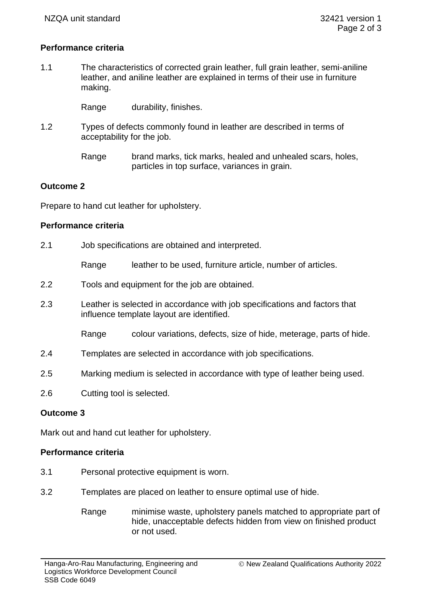# **Performance criteria**

1.1 The characteristics of corrected grain leather, full grain leather, semi-aniline leather, and aniline leather are explained in terms of their use in furniture making.

Range durability, finishes.

- 1.2 Types of defects commonly found in leather are described in terms of acceptability for the job.
	- Range brand marks, tick marks, healed and unhealed scars, holes, particles in top surface, variances in grain.

# **Outcome 2**

Prepare to hand cut leather for upholstery.

# **Performance criteria**

2.1 Job specifications are obtained and interpreted.

Range leather to be used, furniture article, number of articles.

- 2.2 Tools and equipment for the job are obtained.
- 2.3 Leather is selected in accordance with job specifications and factors that influence template layout are identified.

Range colour variations, defects, size of hide, meterage, parts of hide.

- 2.4 Templates are selected in accordance with job specifications.
- 2.5 Marking medium is selected in accordance with type of leather being used.
- 2.6 Cutting tool is selected.

# **Outcome 3**

Mark out and hand cut leather for upholstery.

## **Performance criteria**

- 3.1 Personal protective equipment is worn.
- 3.2 Templates are placed on leather to ensure optimal use of hide.
	- Range minimise waste, upholstery panels matched to appropriate part of hide, unacceptable defects hidden from view on finished product or not used.